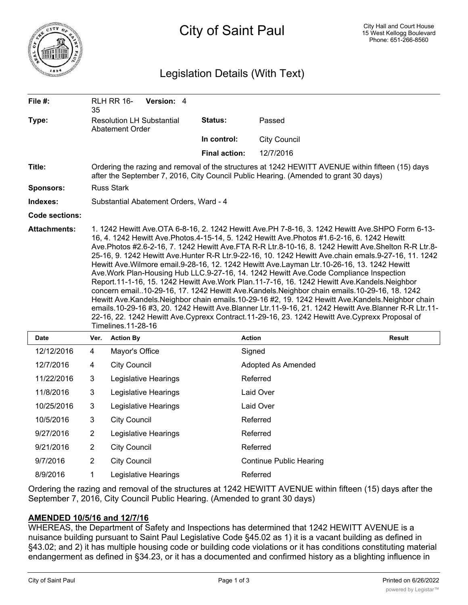

## Legislation Details (With Text)

| File #:               | 35                                                                                                                                                                                                                                                                                                                                                                                                                                                                                                                                                                                                                                                                                                                                                                                                                                                                                                                                                                                                                                   | RLH RR 16-           | Version: 4                       |  |                      |                                |               |  |
|-----------------------|--------------------------------------------------------------------------------------------------------------------------------------------------------------------------------------------------------------------------------------------------------------------------------------------------------------------------------------------------------------------------------------------------------------------------------------------------------------------------------------------------------------------------------------------------------------------------------------------------------------------------------------------------------------------------------------------------------------------------------------------------------------------------------------------------------------------------------------------------------------------------------------------------------------------------------------------------------------------------------------------------------------------------------------|----------------------|----------------------------------|--|----------------------|--------------------------------|---------------|--|
| Type:                 | <b>Resolution LH Substantial</b><br>Abatement Order                                                                                                                                                                                                                                                                                                                                                                                                                                                                                                                                                                                                                                                                                                                                                                                                                                                                                                                                                                                  |                      |                                  |  | Status:              | Passed                         |               |  |
|                       |                                                                                                                                                                                                                                                                                                                                                                                                                                                                                                                                                                                                                                                                                                                                                                                                                                                                                                                                                                                                                                      |                      |                                  |  | In control:          | <b>City Council</b>            |               |  |
|                       |                                                                                                                                                                                                                                                                                                                                                                                                                                                                                                                                                                                                                                                                                                                                                                                                                                                                                                                                                                                                                                      |                      |                                  |  | <b>Final action:</b> | 12/7/2016                      |               |  |
| Title:                | Ordering the razing and removal of the structures at 1242 HEWITT AVENUE within fifteen (15) days<br>after the September 7, 2016, City Council Public Hearing. (Amended to grant 30 days)                                                                                                                                                                                                                                                                                                                                                                                                                                                                                                                                                                                                                                                                                                                                                                                                                                             |                      |                                  |  |                      |                                |               |  |
| Sponsors:             | <b>Russ Stark</b>                                                                                                                                                                                                                                                                                                                                                                                                                                                                                                                                                                                                                                                                                                                                                                                                                                                                                                                                                                                                                    |                      |                                  |  |                      |                                |               |  |
| Indexes:              | Substantial Abatement Orders, Ward - 4                                                                                                                                                                                                                                                                                                                                                                                                                                                                                                                                                                                                                                                                                                                                                                                                                                                                                                                                                                                               |                      |                                  |  |                      |                                |               |  |
| <b>Code sections:</b> |                                                                                                                                                                                                                                                                                                                                                                                                                                                                                                                                                                                                                                                                                                                                                                                                                                                                                                                                                                                                                                      |                      |                                  |  |                      |                                |               |  |
|                       | 16, 4. 1242 Hewitt Ave.Photos.4-15-14, 5. 1242 Hewitt Ave.Photos #1.6-2-16, 6. 1242 Hewitt<br>Ave.Photos #2.6-2-16, 7. 1242 Hewitt Ave.FTA R-R Ltr.8-10-16, 8. 1242 Hewitt Ave.Shelton R-R Ltr.8-<br>25-16, 9. 1242 Hewitt Ave.Hunter R-R Ltr.9-22-16, 10. 1242 Hewitt Ave.chain emals.9-27-16, 11. 1242<br>Hewitt Ave. Wilmore email. 9-28-16, 12. 1242 Hewitt Ave. Layman Ltr. 10-26-16, 13. 1242 Hewitt<br>Ave.Work Plan-Housing Hub LLC.9-27-16, 14. 1242 Hewitt Ave.Code Compliance Inspection<br>Report.11-1-16, 15. 1242 Hewitt Ave.Work Plan.11-7-16, 16. 1242 Hewitt Ave.Kandels.Neighbor<br>concern email10-29-16, 17. 1242 Hewitt Ave.Kandels.Neighbor chain emails.10-29-16, 18. 1242<br>Hewitt Ave.Kandels.Neighbor chain emails.10-29-16 #2, 19. 1242 Hewitt Ave.Kandels.Neighbor chain<br>emails.10-29-16 #3, 20. 1242 Hewitt Ave.Blanner Ltr.11-9-16, 21. 1242 Hewitt Ave.Blanner R-R Ltr.11-<br>22-16, 22. 1242 Hewitt Ave.Cyprexx Contract.11-29-16, 23. 1242 Hewitt Ave.Cyprexx Proposal of<br>Timelines.11-28-16 |                      |                                  |  |                      |                                |               |  |
| <b>Date</b>           | Ver.                                                                                                                                                                                                                                                                                                                                                                                                                                                                                                                                                                                                                                                                                                                                                                                                                                                                                                                                                                                                                                 | <b>Action By</b>     |                                  |  |                      | <b>Action</b>                  | <b>Result</b> |  |
| 12/12/2016            | $\overline{4}$                                                                                                                                                                                                                                                                                                                                                                                                                                                                                                                                                                                                                                                                                                                                                                                                                                                                                                                                                                                                                       | Mayor's Office       |                                  |  |                      | Signed                         |               |  |
| 12/7/2016             | 4                                                                                                                                                                                                                                                                                                                                                                                                                                                                                                                                                                                                                                                                                                                                                                                                                                                                                                                                                                                                                                    | <b>City Council</b>  |                                  |  |                      | <b>Adopted As Amended</b>      |               |  |
| 11/22/2016            | $\mathbf{3}$                                                                                                                                                                                                                                                                                                                                                                                                                                                                                                                                                                                                                                                                                                                                                                                                                                                                                                                                                                                                                         |                      | Legislative Hearings<br>Referred |  |                      |                                |               |  |
| 11/8/2016             | 3                                                                                                                                                                                                                                                                                                                                                                                                                                                                                                                                                                                                                                                                                                                                                                                                                                                                                                                                                                                                                                    | Legislative Hearings |                                  |  | Laid Over            |                                |               |  |
| 10/25/2016            | $\mathbf{3}$                                                                                                                                                                                                                                                                                                                                                                                                                                                                                                                                                                                                                                                                                                                                                                                                                                                                                                                                                                                                                         |                      | Legislative Hearings             |  |                      | Laid Over                      |               |  |
| 10/5/2016             | 3                                                                                                                                                                                                                                                                                                                                                                                                                                                                                                                                                                                                                                                                                                                                                                                                                                                                                                                                                                                                                                    | <b>City Council</b>  |                                  |  |                      | Referred                       |               |  |
| 9/27/2016             | $\sqrt{2}$                                                                                                                                                                                                                                                                                                                                                                                                                                                                                                                                                                                                                                                                                                                                                                                                                                                                                                                                                                                                                           |                      | Legislative Hearings             |  |                      | Referred                       |               |  |
| 9/21/2016             | $\overline{2}$                                                                                                                                                                                                                                                                                                                                                                                                                                                                                                                                                                                                                                                                                                                                                                                                                                                                                                                                                                                                                       | <b>City Council</b>  |                                  |  |                      | Referred                       |               |  |
| 9/7/2016              | $\overline{2}$                                                                                                                                                                                                                                                                                                                                                                                                                                                                                                                                                                                                                                                                                                                                                                                                                                                                                                                                                                                                                       | <b>City Council</b>  |                                  |  |                      | <b>Continue Public Hearing</b> |               |  |
| 8/9/2016              | 1                                                                                                                                                                                                                                                                                                                                                                                                                                                                                                                                                                                                                                                                                                                                                                                                                                                                                                                                                                                                                                    |                      | Legislative Hearings             |  |                      | Referred                       |               |  |

Ordering the razing and removal of the structures at 1242 HEWITT AVENUE within fifteen (15) days after the September 7, 2016, City Council Public Hearing. (Amended to grant 30 days)

## **AMENDED 10/5/16 and 12/7/16**

WHEREAS, the Department of Safety and Inspections has determined that 1242 HEWITT AVENUE is a nuisance building pursuant to Saint Paul Legislative Code §45.02 as 1) it is a vacant building as defined in §43.02; and 2) it has multiple housing code or building code violations or it has conditions constituting material endangerment as defined in §34.23, or it has a documented and confirmed history as a blighting influence in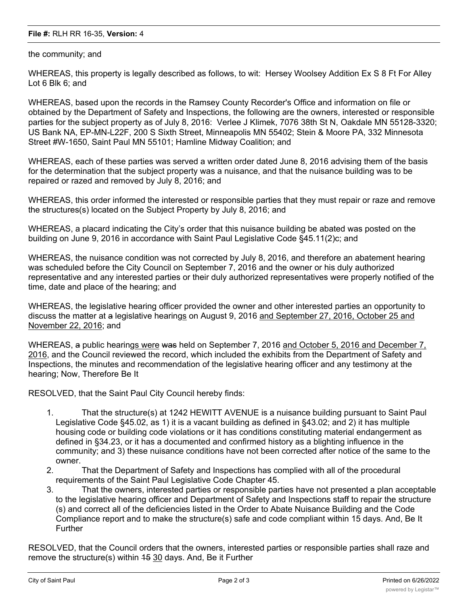## **File #:** RLH RR 16-35, **Version:** 4

the community; and

WHEREAS, this property is legally described as follows, to wit: Hersey Woolsey Addition Ex S 8 Ft For Alley Lot 6 Blk 6; and

WHEREAS, based upon the records in the Ramsey County Recorder's Office and information on file or obtained by the Department of Safety and Inspections, the following are the owners, interested or responsible parties for the subject property as of July 8, 2016: Verlee J Klimek, 7076 38th St N, Oakdale MN 55128-3320; US Bank NA, EP-MN-L22F, 200 S Sixth Street, Minneapolis MN 55402; Stein & Moore PA, 332 Minnesota Street #W-1650, Saint Paul MN 55101; Hamline Midway Coalition; and

WHEREAS, each of these parties was served a written order dated June 8, 2016 advising them of the basis for the determination that the subject property was a nuisance, and that the nuisance building was to be repaired or razed and removed by July 8, 2016; and

WHEREAS, this order informed the interested or responsible parties that they must repair or raze and remove the structures(s) located on the Subject Property by July 8, 2016; and

WHEREAS, a placard indicating the City's order that this nuisance building be abated was posted on the building on June 9, 2016 in accordance with Saint Paul Legislative Code §45.11(2)c; and

WHEREAS, the nuisance condition was not corrected by July 8, 2016, and therefore an abatement hearing was scheduled before the City Council on September 7, 2016 and the owner or his duly authorized representative and any interested parties or their duly authorized representatives were properly notified of the time, date and place of the hearing; and

WHEREAS, the legislative hearing officer provided the owner and other interested parties an opportunity to discuss the matter at a legislative hearings on August 9, 2016 and September 27, 2016, October 25 and November 22, 2016; and

WHEREAS, a public hearings were was held on September 7, 2016 and October 5, 2016 and December 7, 2016, and the Council reviewed the record, which included the exhibits from the Department of Safety and Inspections, the minutes and recommendation of the legislative hearing officer and any testimony at the hearing; Now, Therefore Be It

RESOLVED, that the Saint Paul City Council hereby finds:

- 1. That the structure(s) at 1242 HEWITT AVENUE is a nuisance building pursuant to Saint Paul Legislative Code §45.02, as 1) it is a vacant building as defined in §43.02; and 2) it has multiple housing code or building code violations or it has conditions constituting material endangerment as defined in §34.23, or it has a documented and confirmed history as a blighting influence in the community; and 3) these nuisance conditions have not been corrected after notice of the same to the owner.
- 2. That the Department of Safety and Inspections has complied with all of the procedural requirements of the Saint Paul Legislative Code Chapter 45.
- 3. That the owners, interested parties or responsible parties have not presented a plan acceptable to the legislative hearing officer and Department of Safety and Inspections staff to repair the structure (s) and correct all of the deficiencies listed in the Order to Abate Nuisance Building and the Code Compliance report and to make the structure(s) safe and code compliant within 15 days. And, Be It Further

RESOLVED, that the Council orders that the owners, interested parties or responsible parties shall raze and remove the structure(s) within 45 30 days. And, Be it Further